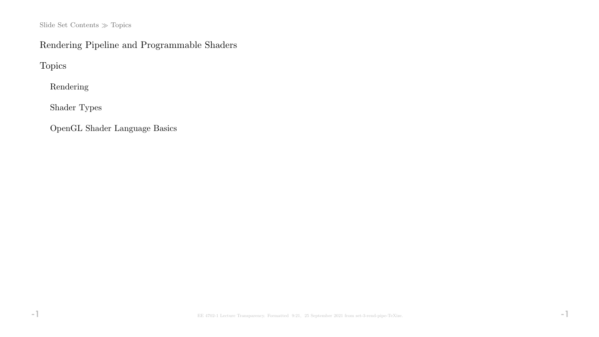Slide Set Contents  $\gg$  Topics

# Rendering Pipeline and Programmable Shaders

Topics

Rendering

Shader Types

OpenGL Shader Language Basics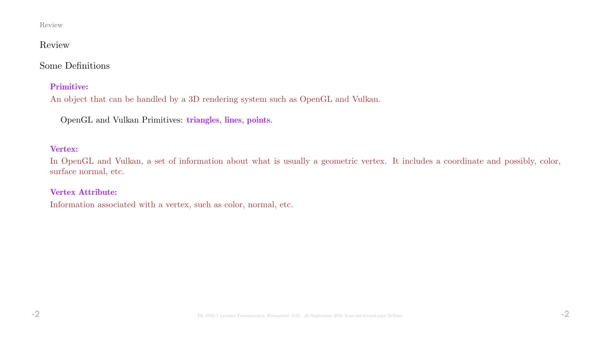#### Review

### Review

# Some Definitions

#### Primitive:

An object that can be handled by a 3D rendering system such as OpenGL and Vulkan.

OpenGL and Vulkan Primitives: triangles, lines, points.

#### Vertex:

In OpenGL and Vulkan, a set of information about what is usually a geometric vertex. It includes a coordinate and possibly, color, surface normal, etc.

#### Vertex Attribute:

Information associated with a vertex, such as color, normal, etc.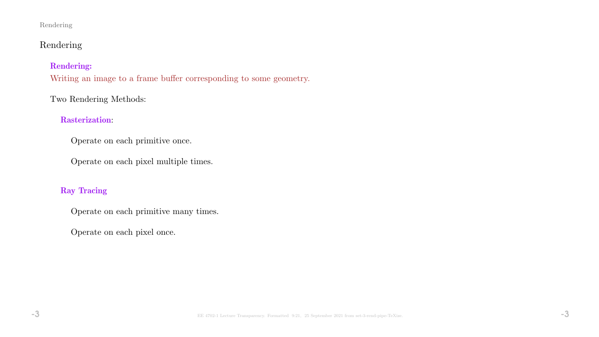# Rendering

## Rendering:

Writing an image to a frame buffer corresponding to some geometry.

# Two Rendering Methods:

# Rasterization:

Operate on each primitive once.

Operate on each pixel multiple times.

## Ray Tracing

Operate on each primitive many times.

Operate on each pixel once.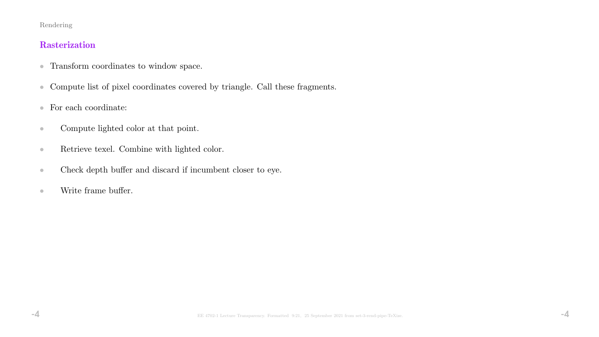# **Rasterization**

- Transform coordinates to window space.
- Compute list of pixel coordinates covered by triangle. Call these fragments.
- $\bullet~$  For each coordinate:
- Compute lighted color at that point.
- Retrieve texel. Combine with lighted color.
- Check depth buffer and discard if incumbent closer to eye.
- Write frame buffer.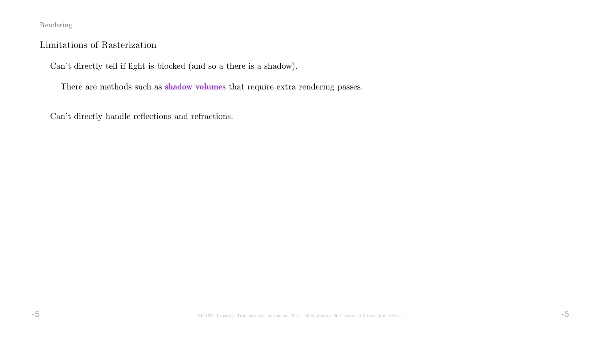## Limitations of Rasterization

Can't directly tell if light is blocked (and so a there is a shadow).

There are methods such as **shadow volumes** that require extra rendering passes.

Can't directly handle reflections and refractions.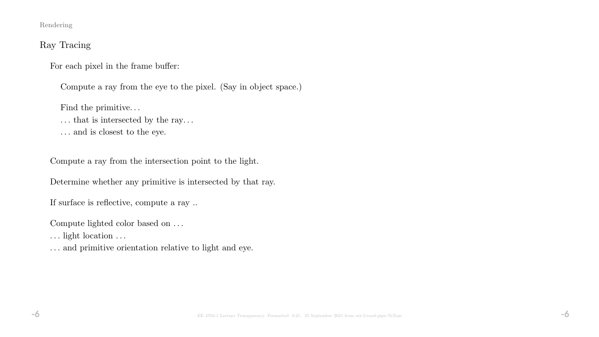# Ray Tracing

For each pixel in the frame buffer:

Compute a ray from the eye to the pixel. (Say in object space.)

Find the primitive.  $\ldots$ 

- $\dots$  that is intersected by the ray.  $\dots$
- . . . and is closest to the eye.

Compute a ray from the intersection point to the light.

Determine whether any primitive is intersected by that ray.

If surface is reflective, compute a ray ..

Compute lighted color based on . . .

. . . light location . . .

. . . and primitive orientation relative to light and eye.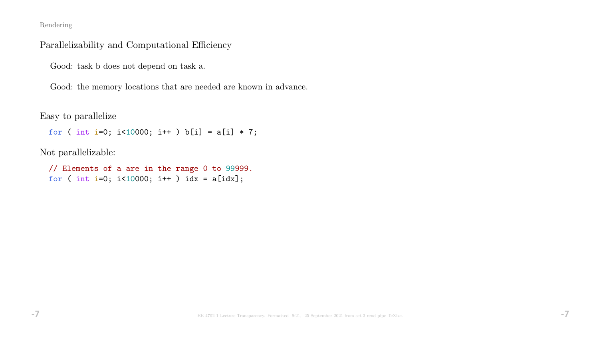## Parallelizability and Computational Efficiency

Good: task b does not depend on task a.

Good: the memory locations that are needed are known in advance.

Easy to parallelize

for ( int i=0; i<10000; i++ ) b[i] =  $a[i] * 7$ ;

Not parallelizable:

// Elements of a are in the range 0 to 99999. for ( int i=0; i<10000; i++ ) idx = a[idx];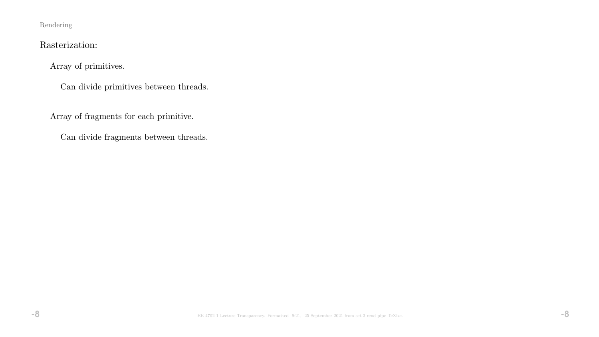# Rasterization:

Array of primitives.

Can divide primitives between threads.

Array of fragments for each primitive.

Can divide fragments between threads.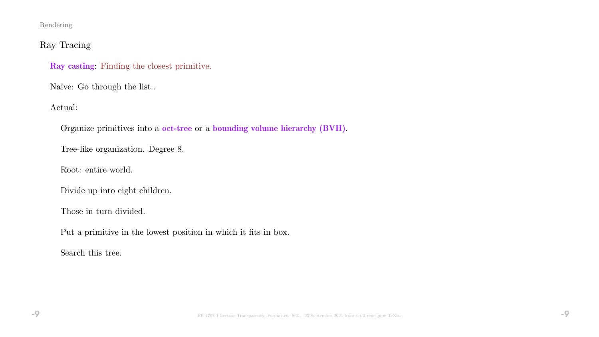# Ray Tracing

Ray casting: Finding the closest primitive.

Naïve: Go through the list..

Actual:

Organize primitives into a oct-tree or a bounding volume hierarchy (BVH).

Tree-like organization. Degree 8.

Root: entire world.

Divide up into eight children.

Those in turn divided.

Put a primitive in the lowest position in which it fits in box.

Search this tree.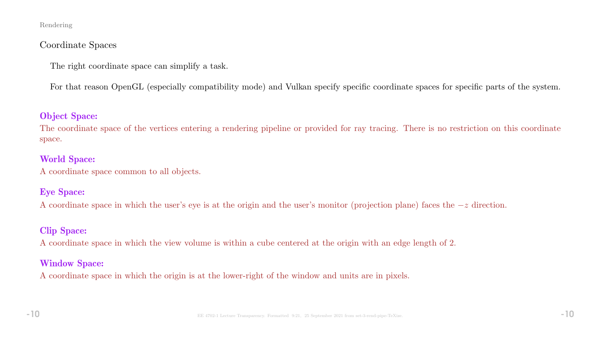### Coordinate Spaces

The right coordinate space can simplify a task.

For that reason OpenGL (especially compatibility mode) and Vulkan specify specific coordinate spaces for specific parts of the system.

### Object Space:

The coordinate space of the vertices entering a rendering pipeline or provided for ray tracing. There is no restriction on this coordinate space.

### World Space:

A coordinate space common to all objects.

## Eye Space:

A coordinate space in which the user's eye is at the origin and the user's monitor (projection plane) faces the −z direction.

# Clip Space:

A coordinate space in which the view volume is within a cube centered at the origin with an edge length of 2.

## Window Space:

A coordinate space in which the origin is at the lower-right of the window and units are in pixels.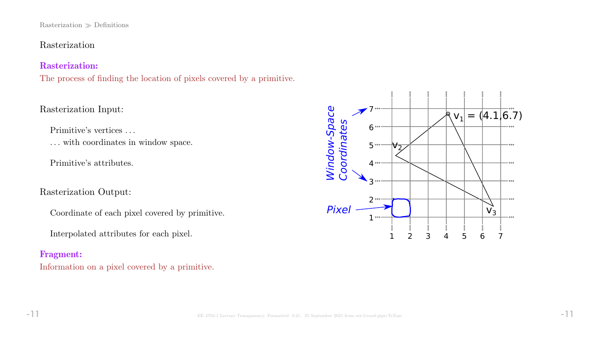#### Rasterization  $\gg$  Definitions

## Rasterization

### Rasterization:

The process of finding the location of pixels covered by a primitive.

## Rasterization Input:

Primitive's vertices . . .

. . . with coordinates in window space.

Primitive's attributes.

# Rasterization Output:

Coordinate of each pixel covered by primitive.

Interpolated attributes for each pixel.

### Fragment:

Information on a pixel covered by a primitive.

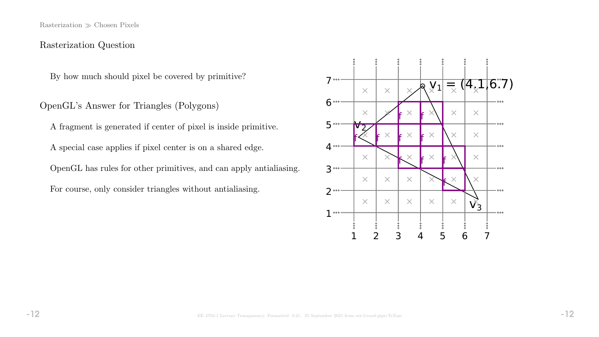Rasterization  $\gg$  Chosen Pixels

### Rasterization Question

By how much should pixel be covered by primitive?

OpenGL's Answer for Triangles (Polygons)

A fragment is generated if center of pixel is inside primitive.

A special case applies if pixel center is on a shared edge.

OpenGL has rules for other primitives, and can apply antialiasing.

For course, only consider triangles without antialiasing.

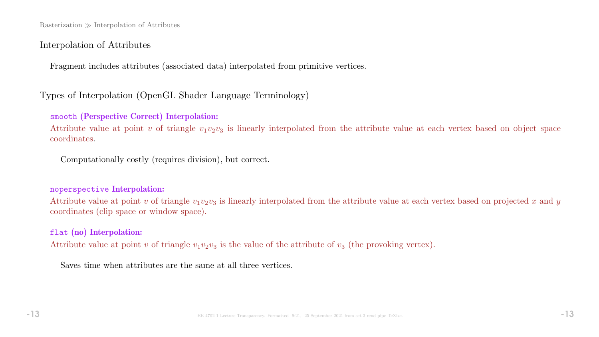$Rasterization \gg Interpolation$  of Attributes

#### Interpolation of Attributes

Fragment includes attributes (associated data) interpolated from primitive vertices.

## Types of Interpolation (OpenGL Shader Language Terminology)

#### smooth (Perspective Correct) Interpolation:

Attribute value at point v of triangle  $v_1v_2v_3$  is linearly interpolated from the attribute value at each vertex based on object space coordinates.

Computationally costly (requires division), but correct.

#### noperspective Interpolation:

Attribute value at point v of triangle  $v_1v_2v_3$  is linearly interpolated from the attribute value at each vertex based on projected x and y coordinates (clip space or window space).

### flat (no) Interpolation:

Attribute value at point v of triangle  $v_1v_2v_3$  is the value of the attribute of  $v_3$  (the provoking vertex).

Saves time when attributes are the same at all three vertices.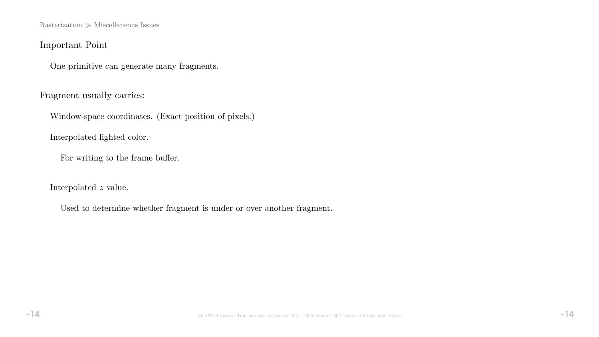$\textsc{Rasterization} \gg \textsc{Miscellaneous}$  Issues

# Important Point

One primitive can generate many fragments.

Fragment usually carries:

Window-space coordinates. (Exact position of pixels.)

Interpolated lighted color.

For writing to the frame buffer.

Interpolated z value.

Used to determine whether fragment is under or over another fragment.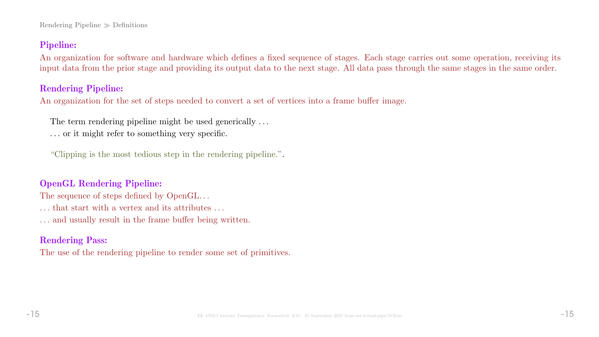Rendering Pipeline  $\gg$  Definitions

## Pipeline:

An organization for software and hardware which defines a fixed sequence of stages. Each stage carries out some operation, receiving its input data from the prior stage and providing its output data to the next stage. All data pass through the same stages in the same order.

# Rendering Pipeline:

An organization for the set of steps needed to convert a set of vertices into a frame buffer image.

The term rendering pipeline might be used generically ...

. . . or it might refer to something very specific.

"Clipping is the most tedious step in the rendering pipeline.".

## OpenGL Rendering Pipeline:

The sequence of steps defined by OpenGL... . . . that start with a vertex and its attributes . . . . . . and usually result in the frame buffer being written.

# Rendering Pass:

The use of the rendering pipeline to render some set of primitives.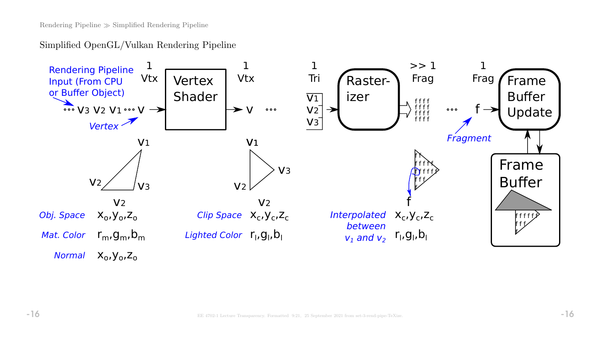Simplified OpenGL/Vulkan Rendering Pipeline

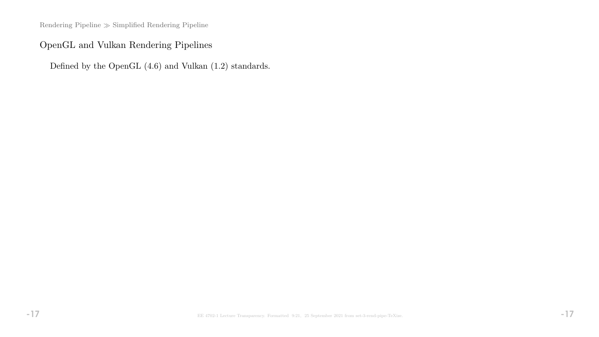Rendering Pipeline  $\gg$  Simplified Rendering Pipeline

# OpenGL and Vulkan Rendering Pipelines

Defined by the OpenGL (4.6) and Vulkan (1.2) standards.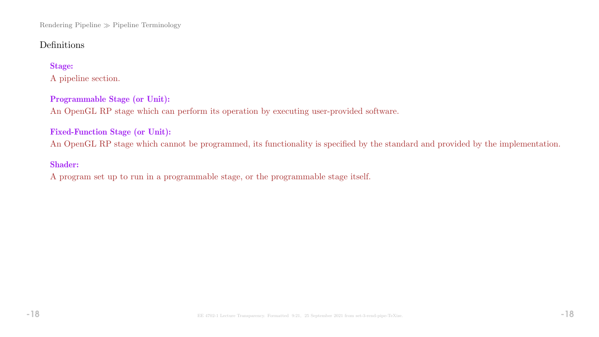Rendering Pipeline Pipeline Terminology

# Definitions

### Stage:

A pipeline section.

#### Programmable Stage (or Unit):

An OpenGL RP stage which can perform its operation by executing user-provided software.

### Fixed-Function Stage (or Unit):

An OpenGL RP stage which cannot be programmed, its functionality is specified by the standard and provided by the implementation.

#### Shader:

A program set up to run in a programmable stage, or the programmable stage itself.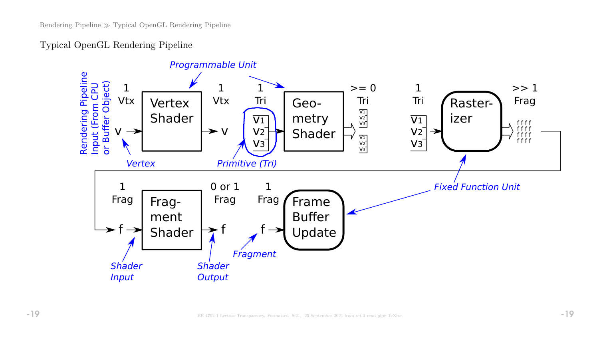# Typical OpenGL Rendering Pipeline

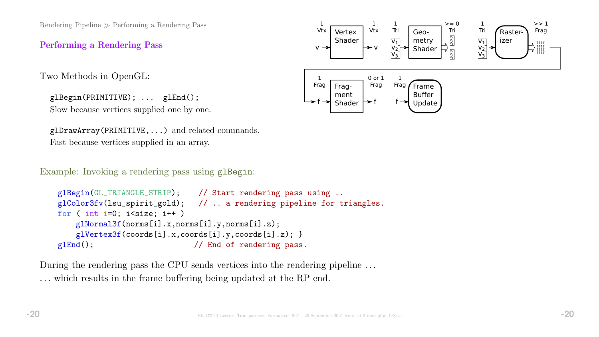Rendering Pipeline  $\gg$  Performing a Rendering Pass

Performing a Rendering Pass

Two Methods in OpenGL:

glBegin(PRIMITIVE); ... glEnd(); Slow because vertices supplied one by one.

```
glDrawArray(PRIMITIVE,...) and related commands.
Fast because vertices supplied in an array.
```
Example: Invoking a rendering pass using glBegin:

```
glBegin(GL_TRIANGLE_STRIP); // Start rendering pass using ..
glColor3fv(lsu_spirit_gold); // .. a rendering pipeline for triangles.
for ( int i=0; i < size; i++ )
    glNormal3f(norms[i].x,norms[i].y,norms[i].z);
    glVertex3f(coords[i].x,coords[i].y,coords[i].z); }
glEnd(); \frac{1}{\pi} // End of rendering pass.
```
During the rendering pass the CPU sends vertices into the rendering pipeline ... . . . which results in the frame buffering being updated at the RP end.

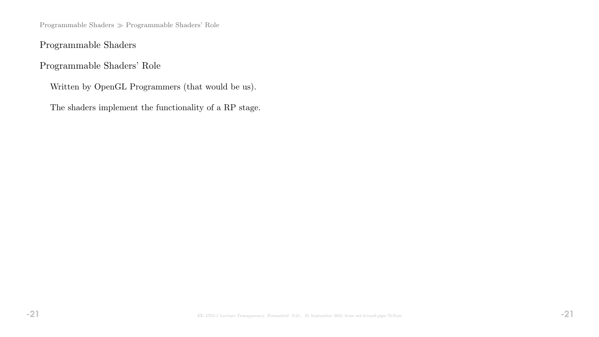Programmable Shaders Programmable Shaders' Role

Programmable Shaders

Programmable Shaders' Role

Written by OpenGL Programmers (that would be us).

The shaders implement the functionality of a RP stage.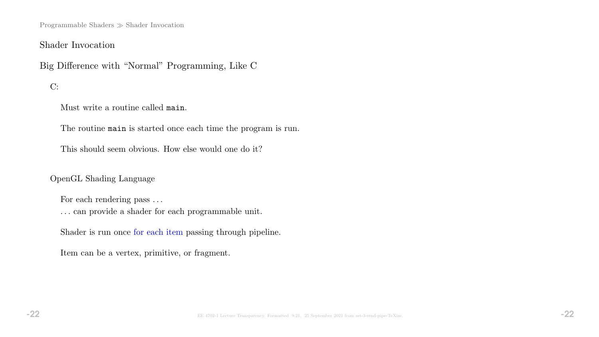Programmable Shaders  $\gg$  Shader Invocation

### Shader Invocation

Big Difference with "Normal" Programming, Like C

C:

Must write a routine called main.

The routine main is started once each time the program is run.

This should seem obvious. How else would one do it?

OpenGL Shading Language

For each rendering pass ...

. . . can provide a shader for each programmable unit.

Shader is run once for each item passing through pipeline.

Item can be a vertex, primitive, or fragment.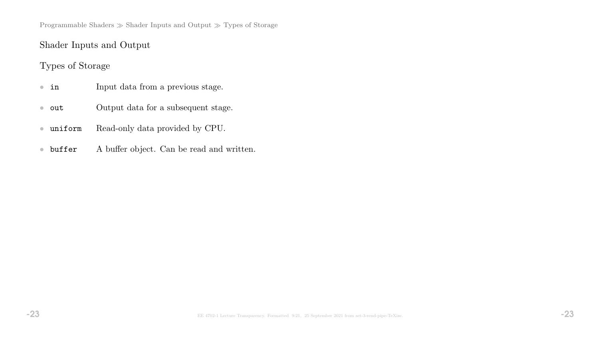Programmable Shaders  $\gg$  Shader Inputs and Output  $\gg$  Types of Storage

# Shader Inputs and Output

# Types of Storage

- in Input data from a previous stage.
- out **Output data for a subsequent stage.**
- uniform Read-only data provided by CPU.
- buffer A buffer object. Can be read and written.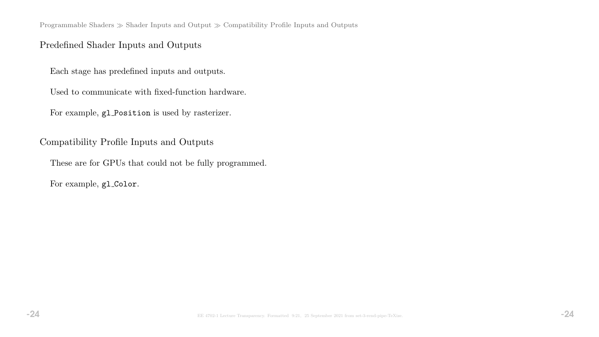Programmable Shaders  $\gg$  Shader Inputs and Output  $\gg$  Compatibility Profile Inputs and Outputs

# Predefined Shader Inputs and Outputs

Each stage has predefined inputs and outputs.

Used to communicate with fixed-function hardware.

For example, gl Position is used by rasterizer.

Compatibility Profile Inputs and Outputs

These are for GPUs that could not be fully programmed.

For example, gl\_Color.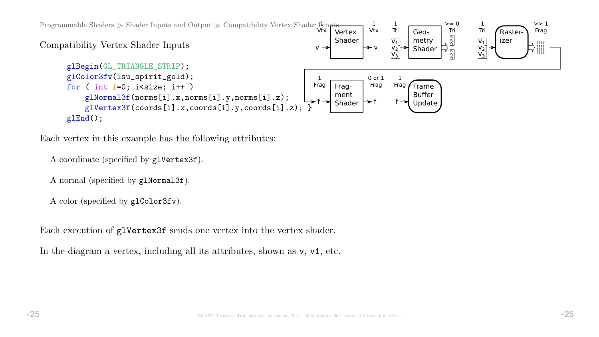

Each vertex in this example has the following attributes:

```
A coordinate (specified by glVertex3f).
```

```
A normal (specified by glNormal3f).
```

```
A color (specified by glColor3fv).
```
Each execution of glVertex3f sends one vertex into the vertex shader.

In the diagram a vertex, including all its attributes, shown as  $v, v1$ , etc.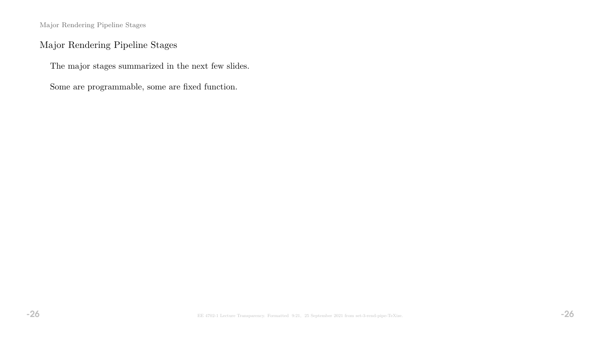Major Rendering Pipeline Stages

# Major Rendering Pipeline Stages

The major stages summarized in the next few slides.

Some are programmable, some are fixed function.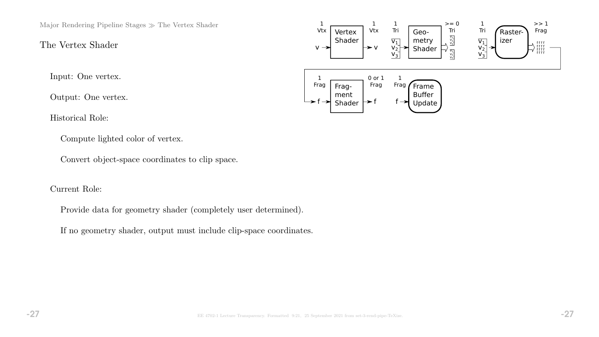Major Rendering Pipeline Stages  $\gg$  The Vertex Shader

# The Vertex Shader

Input: One vertex.

Output: One vertex.

Historical Role:

Compute lighted color of vertex.

Convert object-space coordinates to clip space.

Current Role:

Provide data for geometry shader (completely user determined).

If no geometry shader, output must include clip-space coordinates.

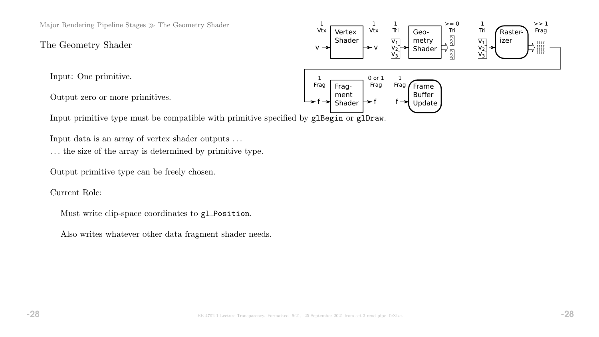Major Rendering Pipeline Stages  $\gg$  The Geometry Shader

The Geometry Shader

Input: One primitive.

Output zero or more primitives.

Input primitive type must be compatible with primitive specified by glBegin or glDraw.

Input data is an array of vertex shader outputs . . .

. . . the size of the array is determined by primitive type.

Output primitive type can be freely chosen.

Current Role:

Must write clip-space coordinates to gl Position.

Also writes whatever other data fragment shader needs.

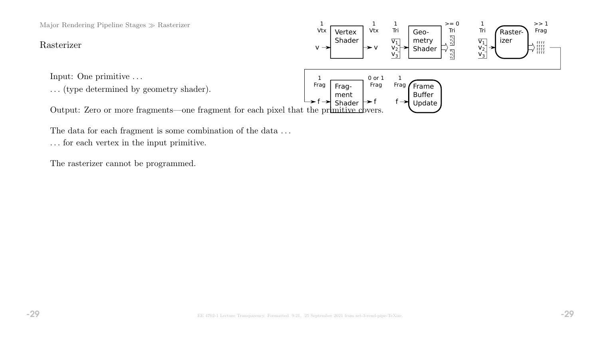Major Rendering Pipeline Stages  $\gg$  Rasterizer

#### Rasterizer

Input: One primitive . . .

. . . (type determined by geometry shader).

Vertex Shader Geometry Shader Fragment  $f \rightarrow$  Shader  $\rightarrow$  f Rasterizer 1 Vtx 1 Tri  $>= 0$ Tri 1 Tri  $>> 1$ Frag 1 Frag 0 or 1 Frag 1 Vtx Frame Buffer Update  $\overline{v_1}$  $V_2$  $V_3$ V<sub>1</sub><br>V<sub>2</sub><br>V<sub>3</sub>  $\frac{\nabla_1}{\nabla_2}$  $\overline{\mathsf{v}_1}$  $\overline{v}_2^ V_3^$  $v \rightarrow$   $v \rightarrow v$   $v_1$  shader  $v_2$   $v_3$   $v_2$   $v_3$   $v_1$   $v_2$   $v_3$ f f f f f f f f f f f f 1 Frag  $f \rightarrow$ Output: Zero or more fragments—one fragment for each pixel that the primitive covers.

The data for each fragment is some combination of the data . . .

. . . for each vertex in the input primitive.

The rasterizer cannot be programmed.

f f f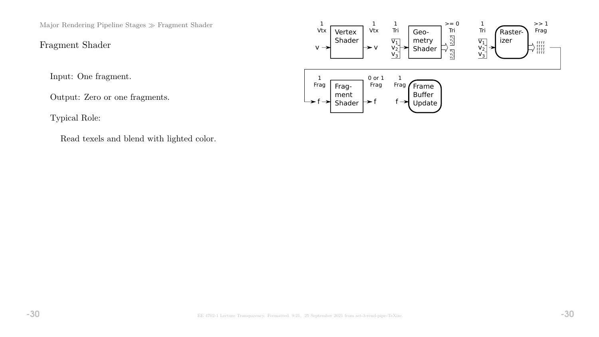Major Rendering Pipeline Stages  $\gg$  Fragment Shader

Fragment Shader

Input: One fragment.

Output: Zero or one fragments.

Typical Role:

Read texels and blend with lighted color.

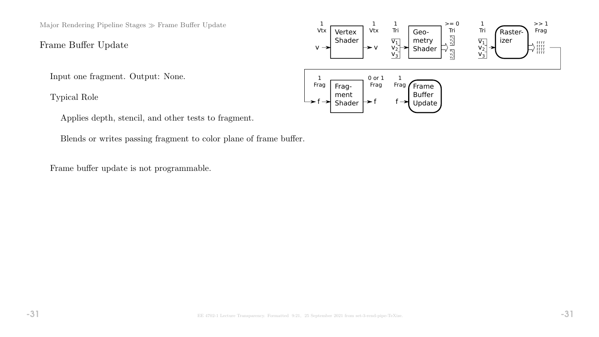Major Rendering Pipeline Stages  $\gg$  Frame Buffer Update

Frame Buffer Update

Input one fragment. Output: None.

Typical Role

Applies depth, stencil, and other tests to fragment.

Blends or writes passing fragment to color plane of frame buffer.

Frame buffer update is not programmable.

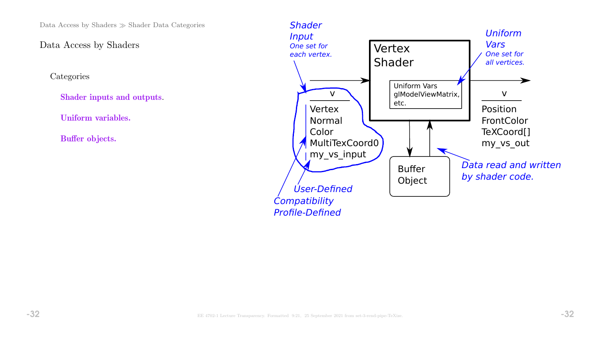Data Access by Shaders  $\gg$  Shader Data Categories

# Data Access by Shaders

**Categories** 

Shader inputs and outputs.

Uniform variables.

Buffer objects.

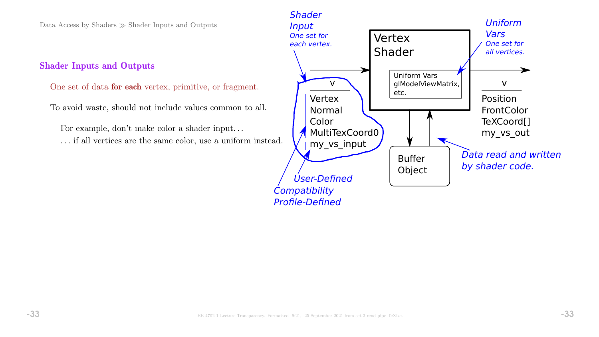Data Access by Shaders  $\gg$  Shader Inputs and Outputs

#### Shader Inputs and Outputs

One set of data for each vertex, primitive, or fragment.

To avoid waste, should not include values common to all.

For example, don't make color a shader input. . .

. . . if all vertices are the same color, use a uniform instead.

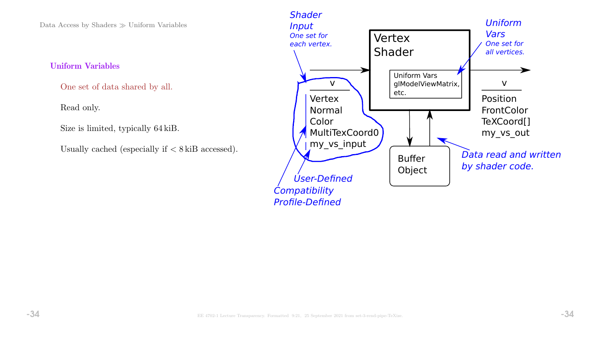Data Access by Shaders  $\gg$  Uniform Variables

#### Uniform Variables

One set of data shared by all.

#### Read only.

Size is limited, typically 64 kiB.

Usually cached (especially if  $\langle 8 \text{ kilB } \text{accessed} \rangle$ .

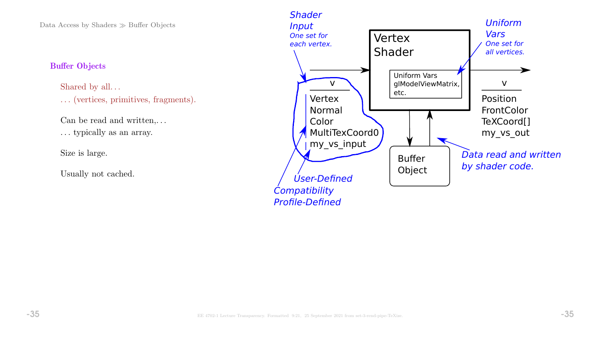Data Access by Shaders  $\gg$  Buffer Objects

#### Buffer Objects

Shared by all... . . . (vertices, primitives, fragments).

Can be read and written,  $\dots$ 

. . . typically as an array.

Size is large.

Usually not cached.

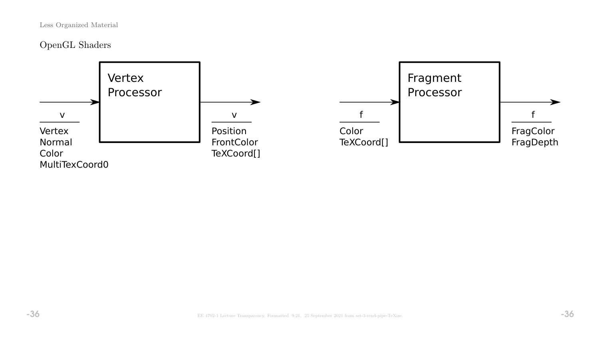# OpenGL Shaders

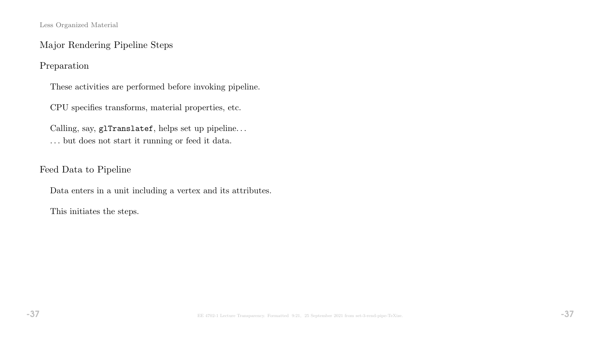Major Rendering Pipeline Steps

Preparation

These activities are performed before invoking pipeline.

CPU specifies transforms, material properties, etc.

Calling, say, glTranslatef, helps set up pipeline. . .  $\ldots$  but does not start it running or feed it data.

Feed Data to Pipeline

Data enters in a unit including a vertex and its attributes.

This initiates the steps.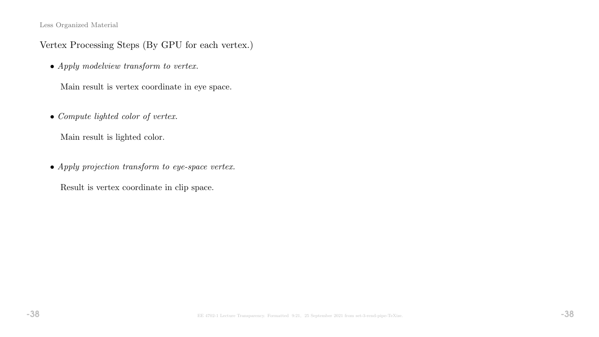# Vertex Processing Steps (By GPU for each vertex.)

• Apply modelview transform to vertex.

Main result is vertex coordinate in eye space.

• Compute lighted color of vertex.

Main result is lighted color.

• Apply projection transform to eye-space vertex.

Result is vertex coordinate in clip space.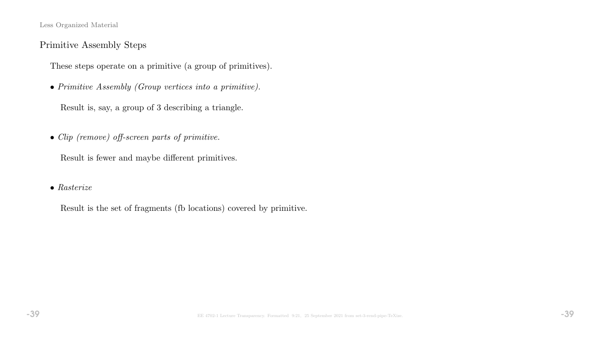# Primitive Assembly Steps

These steps operate on a primitive (a group of primitives).

• Primitive Assembly (Group vertices into a primitive).

Result is, say, a group of 3 describing a triangle.

• Clip (remove) off-screen parts of primitive.

Result is fewer and maybe different primitives.

#### • Rasterize

Result is the set of fragments (fb locations) covered by primitive.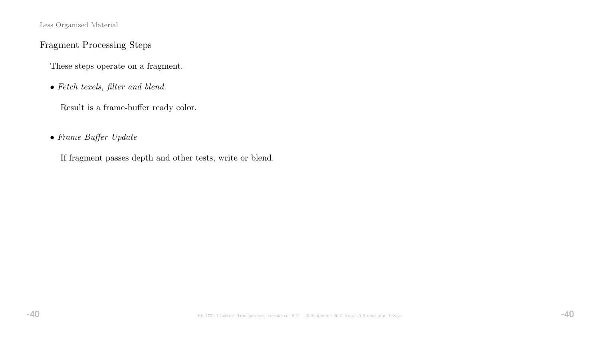# Fragment Processing Steps

These steps operate on a fragment.

• Fetch texels, filter and blend.

Result is a frame-buffer ready color.

# • Frame Buffer Update

If fragment passes depth and other tests, write or blend.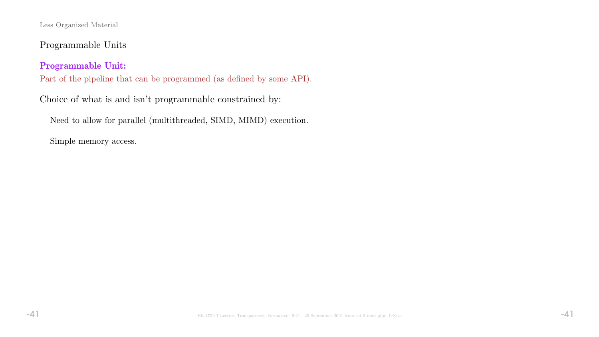Programmable Units

Programmable Unit:

Part of the pipeline that can be programmed (as defined by some API).

Choice of what is and isn't programmable constrained by:

Need to allow for parallel (multithreaded, SIMD, MIMD) execution.

Simple memory access.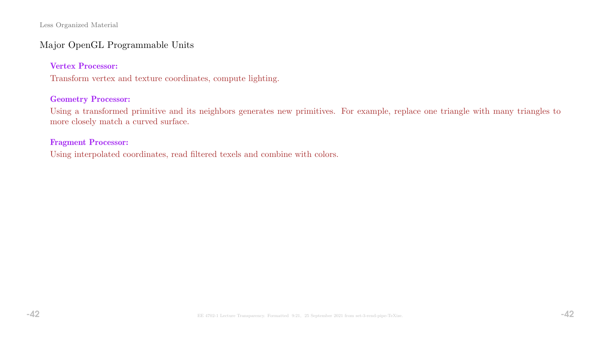## Major OpenGL Programmable Units

#### Vertex Processor:

Transform vertex and texture coordinates, compute lighting.

#### Geometry Processor:

Using a transformed primitive and its neighbors generates new primitives. For example, replace one triangle with many triangles to more closely match a curved surface.

#### Fragment Processor:

Using interpolated coordinates, read filtered texels and combine with colors.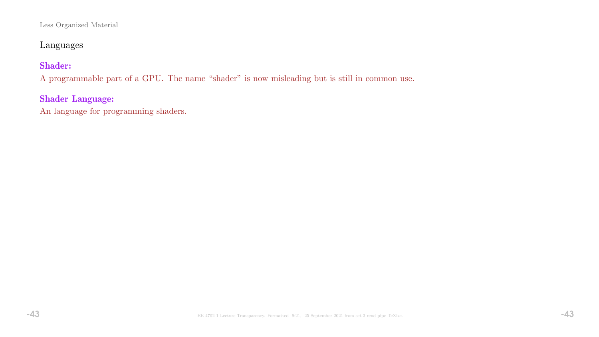# Languages

# Shader:

A programmable part of a GPU. The name "shader" is now misleading but is still in common use.

# Shader Language:

An language for programming shaders.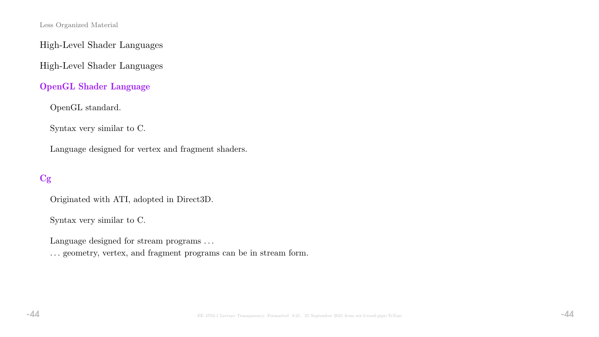High-Level Shader Languages

High-Level Shader Languages

OpenGL Shader Language

OpenGL standard.

Syntax very similar to C.

Language designed for vertex and fragment shaders.

# Cg

Originated with ATI, adopted in Direct3D.

Syntax very similar to C.

Language designed for stream programs . . .

. . . geometry, vertex, and fragment programs can be in stream form.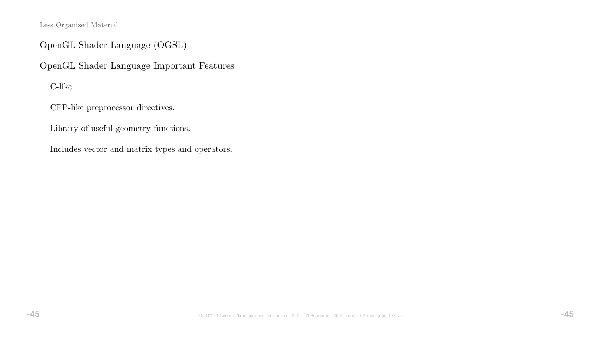OpenGL Shader Language (OGSL)

OpenGL Shader Language Important Features

C-like

CPP-like preprocessor directives.

Library of useful geometry functions.

Includes vector and matrix types and operators.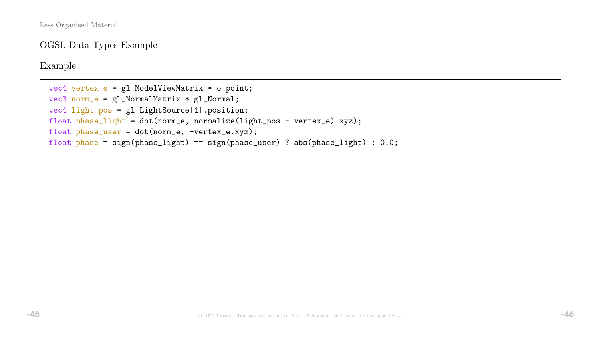OGSL Data Types Example

Example

```
vec4 vertex_e = gl_ModelViewMatrix * o_point;
vec3 norm_e = gl_NormalMatrix * gl_Normal;
vec4 light_pos = gl_LightSource[1].position;
float phase_light = dot(norm_e, normalize(light_pos - vertex_e).xyz);
float phase_user = dot(norm_e, -vertex_e.xyz);
float phase = sign(phase_light) == sign(phase_user) ? abs(phase_light) : 0.0;
```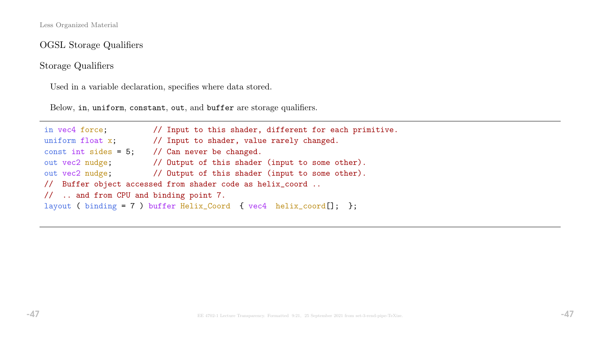OGSL Storage Qualifiers

Storage Qualifiers

Used in a variable declaration, specifies where data stored.

Below, in, uniform, constant, out, and buffer are storage qualifiers.

in vec4 force; // Input to this shader, different for each primitive. uniform float x;  $\frac{1}{2}$  // Input to shader, value rarely changed. const int sides =  $5$ ; // Can never be changed. out vec2 nudge; // Output of this shader (input to some other). out vec2 nudge; // Output of this shader (input to some other). // Buffer object accessed from shader code as helix\_coord .. // .. and from CPU and binding point 7. layout ( binding = 7 ) buffer Helix\_Coord { vec4 helix\_coord[]; };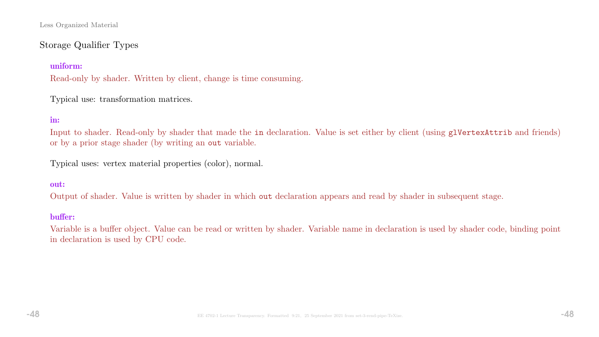# Storage Qualifier Types

#### uniform:

Read-only by shader. Written by client, change is time consuming.

Typical use: transformation matrices.

#### in:

Input to shader. Read-only by shader that made the in declaration. Value is set either by client (using glvertexAttrib and friends) or by a prior stage shader (by writing an out variable.

Typical uses: vertex material properties (color), normal.

#### out:

Output of shader. Value is written by shader in which out declaration appears and read by shader in subsequent stage.

#### buffer:

Variable is a buffer object. Value can be read or written by shader. Variable name in declaration is used by shader code, binding point in declaration is used by CPU code.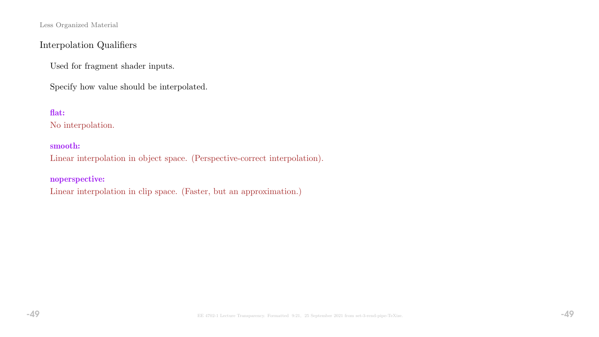# Interpolation Qualifiers

Used for fragment shader inputs.

Specify how value should be interpolated.

## flat:

No interpolation.

#### smooth:

Linear interpolation in object space. (Perspective-correct interpolation).

#### noperspective:

Linear interpolation in clip space. (Faster, but an approximation.)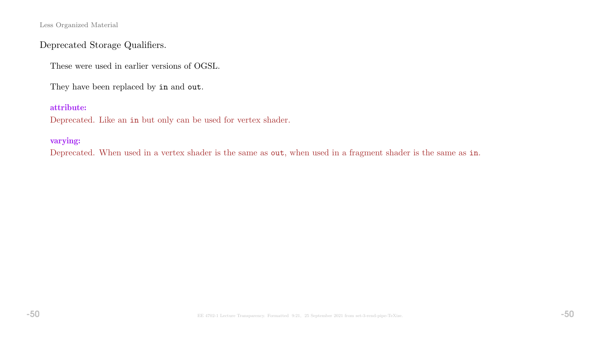# Deprecated Storage Qualifiers.

These were used in earlier versions of OGSL.

They have been replaced by in and out.

#### attribute:

Deprecated. Like an in but only can be used for vertex shader.

#### varying:

Deprecated. When used in a vertex shader is the same as out, when used in a fragment shader is the same as in.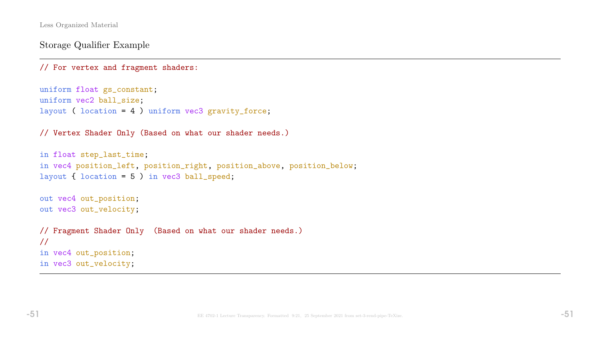Storage Qualifier Example

```
// For vertex and fragment shaders:
```

```
uniform float gs_constant;
uniform vec2 ball_size;
layout ( location = 4 ) uniform vec3 gravity_force;
```
// Vertex Shader Only (Based on what our shader needs.)

```
in float step_last_time;
in vec4 position_left, position_right, position_above, position_below;
layout { location = 5 ) in vec3 ball_speed;
out vec4 out_position;
out vec3 out_velocity;
// Fragment Shader Only (Based on what our shader needs.)
//
in vec4 out_position;
```
in vec3 out\_velocity;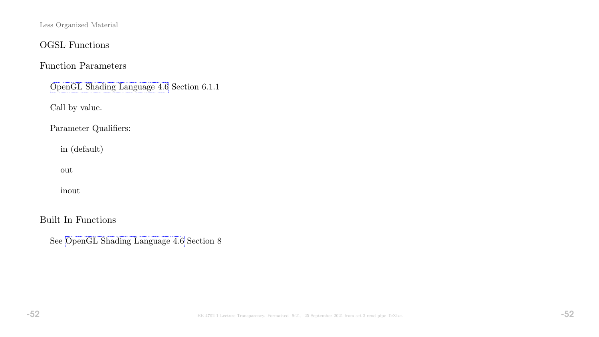# OGSL Functions

# Function Parameters

[OpenGL Shading Language 4.6](https://www.ece.lsu.edu/koppel/gpup/refs/GLSLangSpec.Full.1.30.08.withchanges.pdf) Section 6.1.1

Call by value.

Parameter Qualifiers:

in (default)

out

inout

Built In Functions

See [OpenGL Shading Language 4.6](https://www.ece.lsu.edu/koppel/gpup/refs/GLSLangSpec.Full.1.30.08.withchanges.pdf) Section 8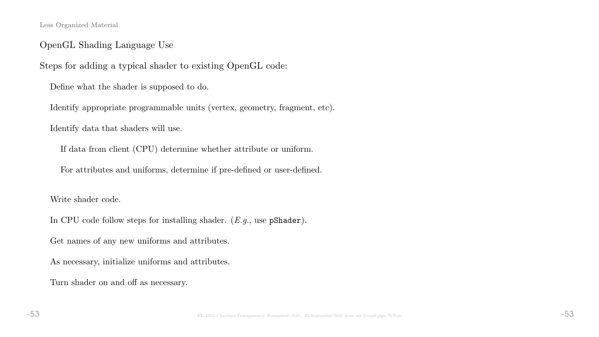## OpenGL Shading Language Use

Steps for adding a typical shader to existing OpenGL code:

Define what the shader is supposed to do.

Identify appropriate programmable units (vertex, geometry, fragment, etc).

Identify data that shaders will use.

If data from client (CPU) determine whether attribute or uniform.

For attributes and uniforms, determine if pre-defined or user-defined.

Write shader code.

In CPU code follow steps for installing shader.  $(E.g.,$  use  $pShader)$ .

Get names of any new uniforms and attributes.

As necessary, initialize uniforms and attributes.

Turn shader on and off as necessary.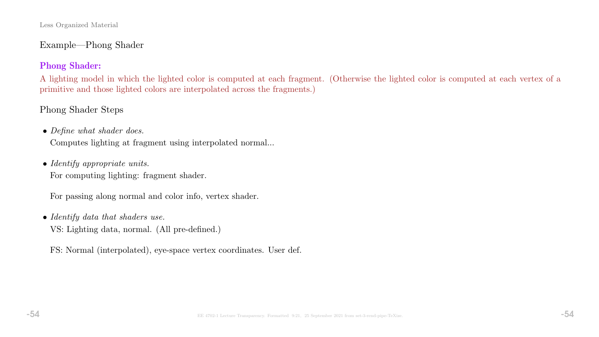## Example—Phong Shader

## Phong Shader:

A lighting model in which the lighted color is computed at each fragment. (Otherwise the lighted color is computed at each vertex of a primitive and those lighted colors are interpolated across the fragments.)

# Phong Shader Steps

• Define what shader does.

Computes lighting at fragment using interpolated normal...

• Identify appropriate units.

For computing lighting: fragment shader.

For passing along normal and color info, vertex shader.

• Identify data that shaders use.

VS: Lighting data, normal. (All pre-defined.)

FS: Normal (interpolated), eye-space vertex coordinates. User def.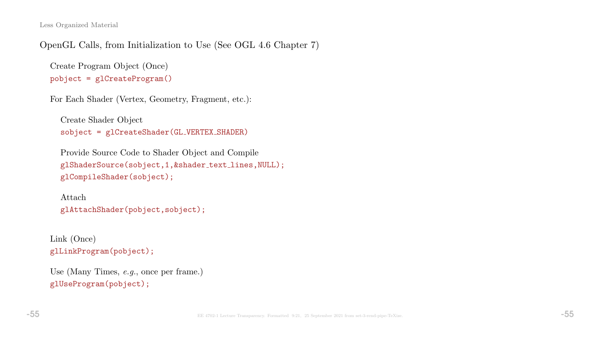OpenGL Calls, from Initialization to Use (See OGL 4.6 Chapter 7)

```
Create Program Object (Once)
pobject = glCreateProgram()
```

```
For Each Shader (Vertex, Geometry, Fragment, etc.):
```

```
Create Shader Object
sobject = glCreateShader(GL VERTEX SHADER)
```

```
Provide Source Code to Shader Object and Compile
glShaderSource(sobject,1,&shader text lines,NULL);
glCompileShader(sobject);
```

```
Attach
glAttachShader(pobject,sobject);
```

```
Link (Once)
glLinkProgram(pobject);
```

```
Use (Many Times, e.g., once per frame.)
glUseProgram(pobject);
```